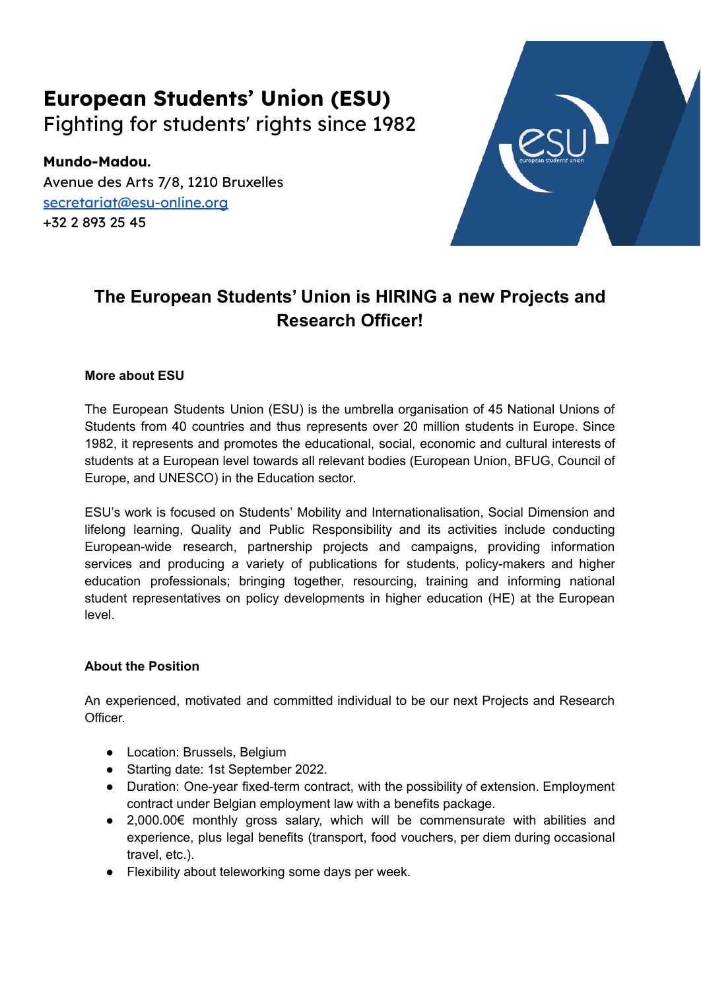# **European Students' Union (ESU)** Fighting for students' rights since 1982

**Mundo-Madou.** Avenue des Arts 7/8, 1210 Bruxelles [secretariat@esu-online.org](mailto:secretariat@esu-online.org) +32 2 893 25 45



# **The European Students' Union is HIRING a new Projects and Research Officer!**

# **More about ESU**

The European Students Union (ESU) is the umbrella organisation of 45 National Unions of Students from 40 countries and thus represents over 20 million students in Europe. Since 1982, it represents and promotes the educational, social, economic and cultural interests of students at a European level towards all relevant bodies (European Union, BFUG, Council of Europe, and UNESCO) in the Education sector.

ESU's work is focused on Students' Mobility and Internationalisation, Social Dimension and lifelong learning, Quality and Public Responsibility and its activities include conducting European-wide research, partnership projects and campaigns, providing information services and producing a variety of publications for students, policy-makers and higher education professionals; bringing together, resourcing, training and informing national student representatives on policy developments in higher education (HE) at the European level.

# **About the Position**

An experienced, motivated and committed individual to be our next Projects and Research Officer.

- Location: Brussels, Belgium
- Starting date: 1st September 2022.
- Duration: One-year fixed-term contract, with the possibility of extension. Employment contract under Belgian employment law with a benefits package.
- $\bullet$  2,000.00€ monthly gross salary, which will be commensurate with abilities and experience, plus legal benefits (transport, food vouchers, per diem during occasional travel, etc.).
- Flexibility about teleworking some days per week.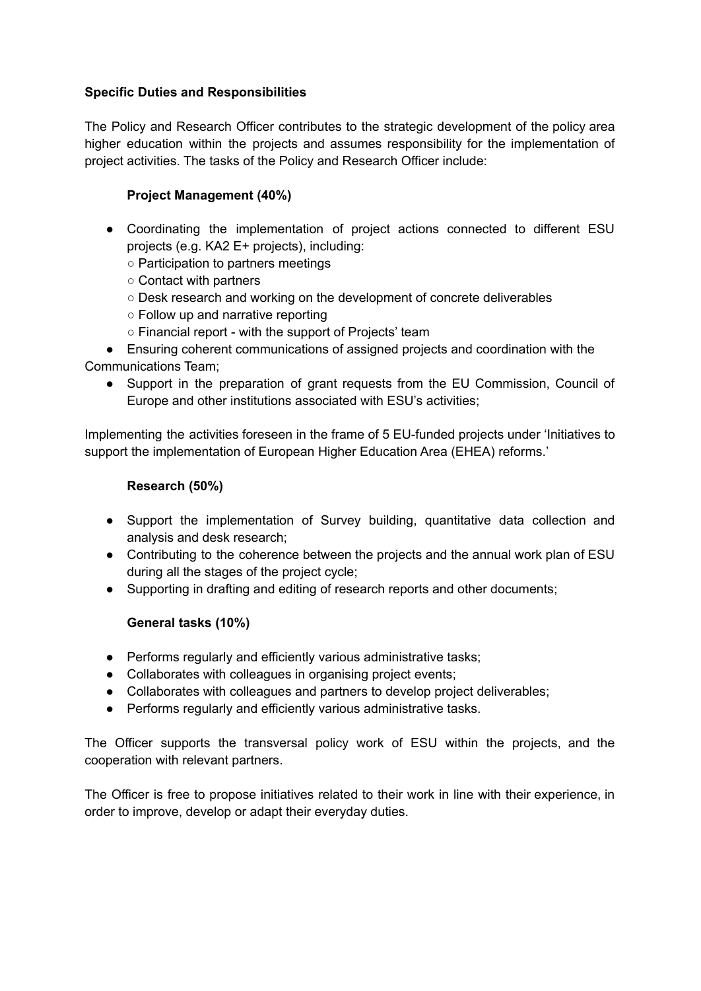## **Specific Duties and Responsibilities**

The Policy and Research Officer contributes to the strategic development of the policy area higher education within the projects and assumes responsibility for the implementation of project activities. The tasks of the Policy and Research Officer include:

# **Project Management (40%)**

- Coordinating the implementation of project actions connected to different ESU projects (e.g. KA2 E+ projects), including:
	- Participation to partners meetings
	- Contact with partners
	- Desk research and working on the development of concrete deliverables
	- Follow up and narrative reporting
	- Financial report with the support of Projects' team

● Ensuring coherent communications of assigned projects and coordination with the Communications Team;

● Support in the preparation of grant requests from the EU Commission, Council of Europe and other institutions associated with ESU's activities;

Implementing the activities foreseen in the frame of 5 EU-funded projects under 'Initiatives to support the implementation of European Higher Education Area (EHEA) reforms.'

#### **Research (50%)**

- Support the implementation of Survey building, quantitative data collection and analysis and desk research;
- Contributing to the coherence between the projects and the annual work plan of ESU during all the stages of the project cycle;
- Supporting in drafting and editing of research reports and other documents;

# **General tasks (10%)**

- Performs regularly and efficiently various administrative tasks;
- Collaborates with colleagues in organising project events;
- Collaborates with colleagues and partners to develop project deliverables;
- Performs regularly and efficiently various administrative tasks.

The Officer supports the transversal policy work of ESU within the projects, and the cooperation with relevant partners.

The Officer is free to propose initiatives related to their work in line with their experience, in order to improve, develop or adapt their everyday duties.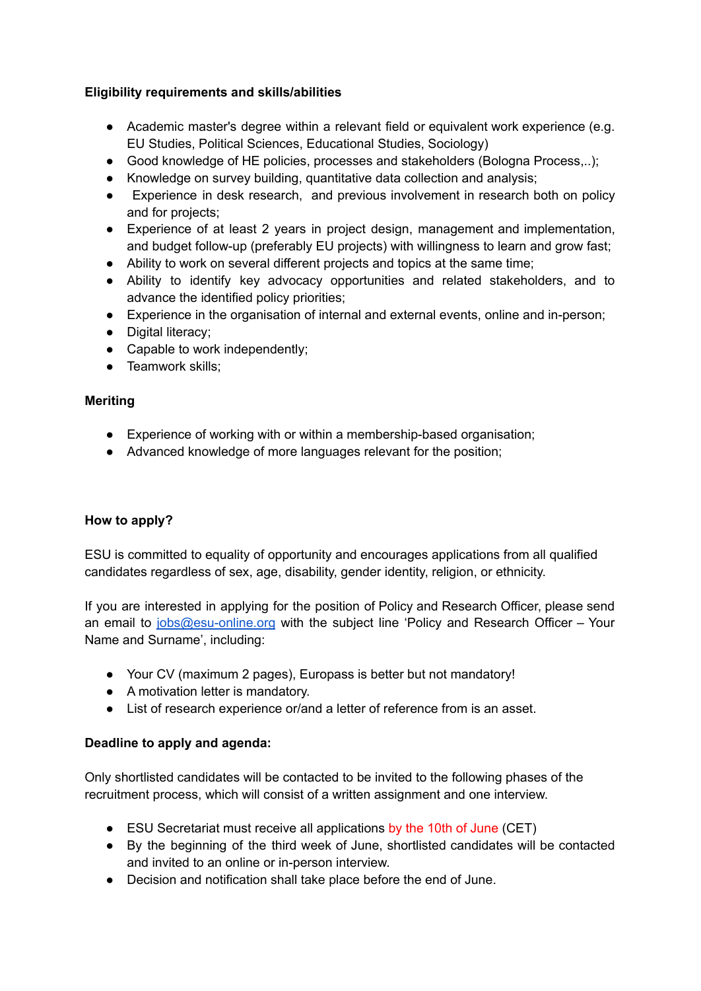# **Eligibility requirements and skills/abilities**

- Academic master's degree within a relevant field or equivalent work experience (e.g. EU Studies, Political Sciences, Educational Studies, Sociology)
- Good knowledge of HE policies, processes and stakeholders (Bologna Process,..);
- Knowledge on survey building, quantitative data collection and analysis;
- Experience in desk research, and previous involvement in research both on policy and for projects;
- Experience of at least 2 years in project design, management and implementation, and budget follow-up (preferably EU projects) with willingness to learn and grow fast;
- Ability to work on several different projects and topics at the same time;
- Ability to identify key advocacy opportunities and related stakeholders, and to advance the identified policy priorities;
- Experience in the organisation of internal and external events, online and in-person;
- Digital literacy:
- Capable to work independently;
- Teamwork skills;

# **Meriting**

- Experience of working with or within a membership-based organisation;
- Advanced knowledge of more languages relevant for the position;

# **How to apply?**

ESU is committed to equality of opportunity and encourages applications from all qualified candidates regardless of sex, age, disability, gender identity, religion, or ethnicity.

If you are interested in applying for the position of Policy and Research Officer, please send an email to [jobs@esu-online.org](mailto:jobs@esu-online.org) with the subject line 'Policy and Research Officer – Your Name and Surname', including:

- Your CV (maximum 2 pages), Europass is better but not mandatory!
- A motivation letter is mandatory.
- List of research experience or/and a letter of reference from is an asset.

# **Deadline to apply and agenda:**

Only shortlisted candidates will be contacted to be invited to the following phases of the recruitment process, which will consist of a written assignment and one interview.

- ESU Secretariat must receive all applications by the 10th of June (CET)
- By the beginning of the third week of June, shortlisted candidates will be contacted and invited to an online or in-person interview.
- Decision and notification shall take place before the end of June.